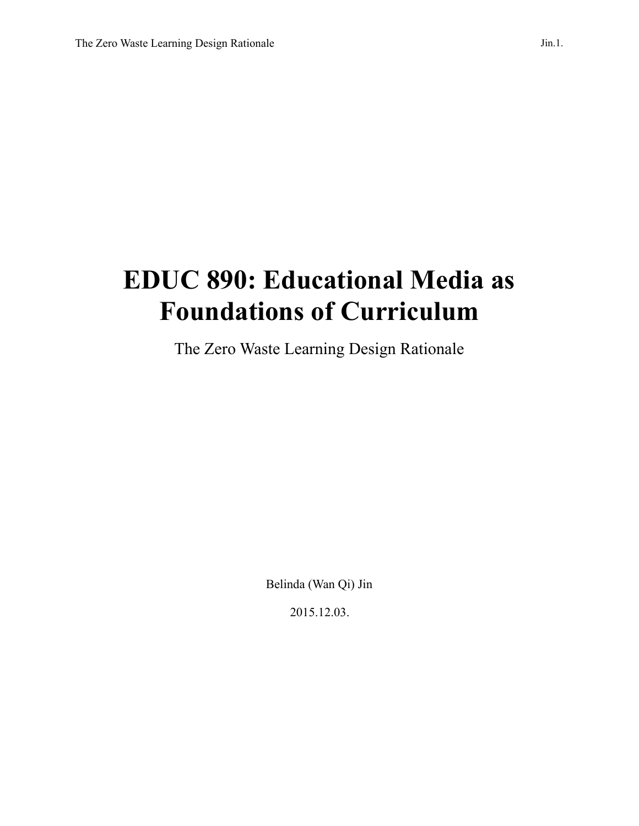# **EDUC 890: Educational Media as Foundations of Curriculum**

The Zero Waste Learning Design Rationale

Belinda (Wan Qi) Jin

2015.12.03.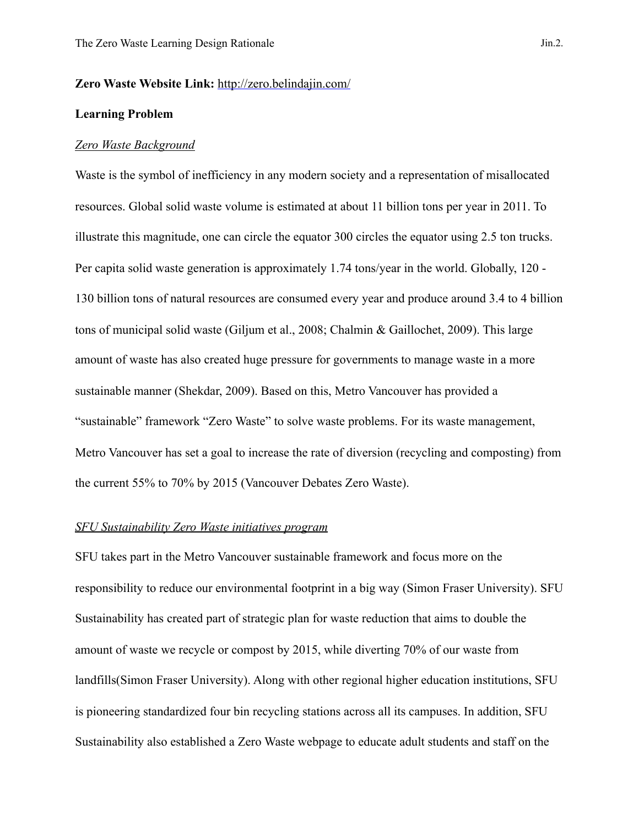#### **Zero Waste Website Link:** <http://zero.belindajin.com/>

#### **Learning Problem**

## *Zero Waste Background*

Waste is the symbol of inefficiency in any modern society and a representation of misallocated resources. Global solid waste volume is estimated at about 11 billion tons per year in 2011. To illustrate this magnitude, one can circle the equator 300 circles the equator using 2.5 ton trucks. Per capita solid waste generation is approximately 1.74 tons/year in the world. Globally, 120 - 130 billion tons of natural resources are consumed every year and produce around 3.4 to 4 billion tons of municipal solid waste (Giljum et al., 2008; Chalmin & Gaillochet, 2009). This large amount of waste has also created huge pressure for governments to manage waste in a more sustainable manner (Shekdar, 2009). Based on this, Metro Vancouver has provided a "sustainable" framework "Zero Waste" to solve waste problems. For its waste management, Metro Vancouver has set a goal to increase the rate of diversion (recycling and composting) from the current 55% to 70% by 2015 (Vancouver Debates Zero Waste).

## *SFU Sustainability Zero Waste initiatives program*

SFU takes part in the Metro Vancouver sustainable framework and focus more on the responsibility to reduce our environmental footprint in a big way (Simon Fraser University). SFU Sustainability has created part of strategic plan for waste reduction that aims to double the amount of waste we recycle or compost by 2015, while diverting 70% of our waste from landfills(Simon Fraser University). Along with other regional higher education institutions, SFU is pioneering standardized four bin recycling stations across all its campuses. In addition, SFU Sustainability also established a Zero Waste webpage to educate adult students and staff on the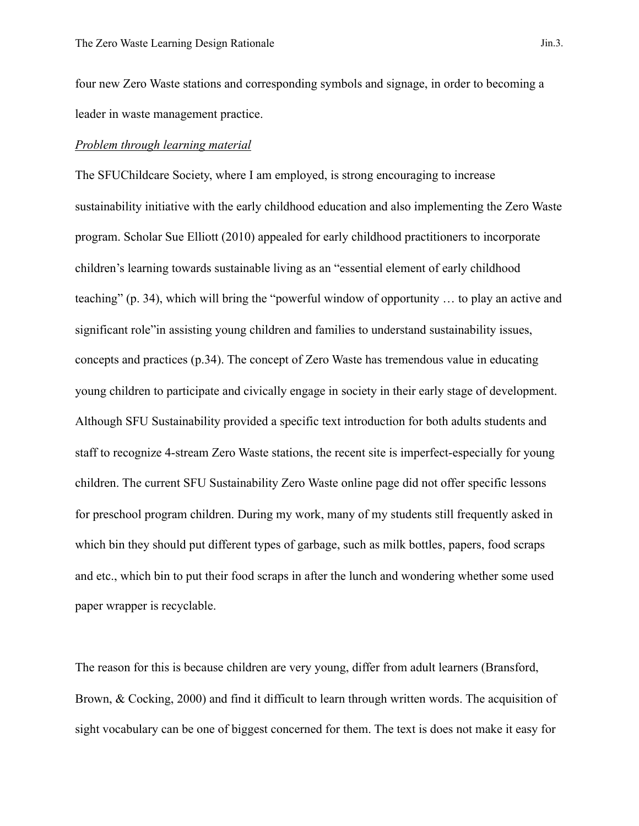four new Zero Waste stations and corresponding symbols and signage, in order to becoming a leader in waste management practice.

# *Problem through learning material*

The SFUChildcare Society, where I am employed, is strong encouraging to increase sustainability initiative with the early childhood education and also implementing the Zero Waste program. Scholar Sue Elliott (2010) appealed for early childhood practitioners to incorporate children's learning towards sustainable living as an "essential element of early childhood teaching" (p. 34), which will bring the "powerful window of opportunity … to play an active and significant role"in assisting young children and families to understand sustainability issues, concepts and practices (p.34). The concept of Zero Waste has tremendous value in educating young children to participate and civically engage in society in their early stage of development. Although SFU Sustainability provided a specific text introduction for both adults students and staff to recognize 4-stream Zero Waste stations, the recent site is imperfect-especially for young children. The current SFU Sustainability Zero Waste online page did not offer specific lessons for preschool program children. During my work, many of my students still frequently asked in which bin they should put different types of garbage, such as milk bottles, papers, food scraps and etc., which bin to put their food scraps in after the lunch and wondering whether some used paper wrapper is recyclable.

The reason for this is because children are very young, differ from adult learners (Bransford, Brown, & Cocking, 2000) and find it difficult to learn through written words. The acquisition of sight vocabulary can be one of biggest concerned for them. The text is does not make it easy for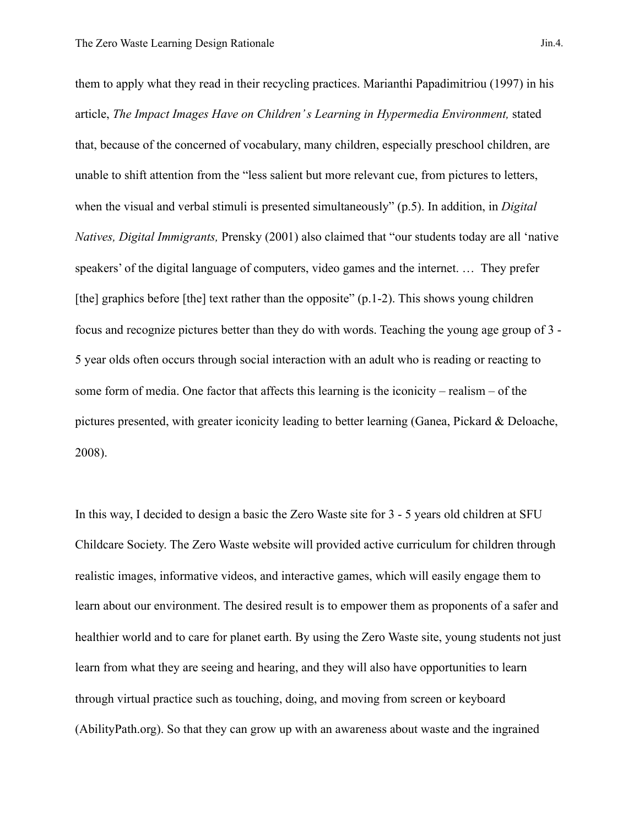them to apply what they read in their recycling practices. Marianthi Papadimitriou (1997) in his article, *The Impact Images Have on Children' s Learning in Hypermedia Environment,* stated that, because of the concerned of vocabulary, many children, especially preschool children, are unable to shift attention from the "less salient but more relevant cue, from pictures to letters, when the visual and verbal stimuli is presented simultaneously" (p.5). In addition, in *Digital Natives, Digital Immigrants,* Prensky (2001) also claimed that "our students today are all 'native speakers' of the digital language of computers, video games and the internet. … They prefer [the] graphics before [the] text rather than the opposite" (p.1-2). This shows young children focus and recognize pictures better than they do with words. Teaching the young age group of 3 - 5 year olds often occurs through social interaction with an adult who is reading or reacting to some form of media. One factor that affects this learning is the iconicity – realism – of the pictures presented, with greater iconicity leading to better learning (Ganea, Pickard & Deloache, 2008).

In this way, I decided to design a basic the Zero Waste site for 3 - 5 years old children at SFU Childcare Society. The Zero Waste website will provided active curriculum for children through realistic images, informative videos, and interactive games, which will easily engage them to learn about our environment. The desired result is to empower them as proponents of a safer and healthier world and to care for planet earth. By using the Zero Waste site, young students not just learn from what they are seeing and hearing, and they will also have opportunities to learn through virtual practice such as touching, doing, and moving from screen or keyboard (AbilityPath.org). So that they can grow up with an awareness about waste and the ingrained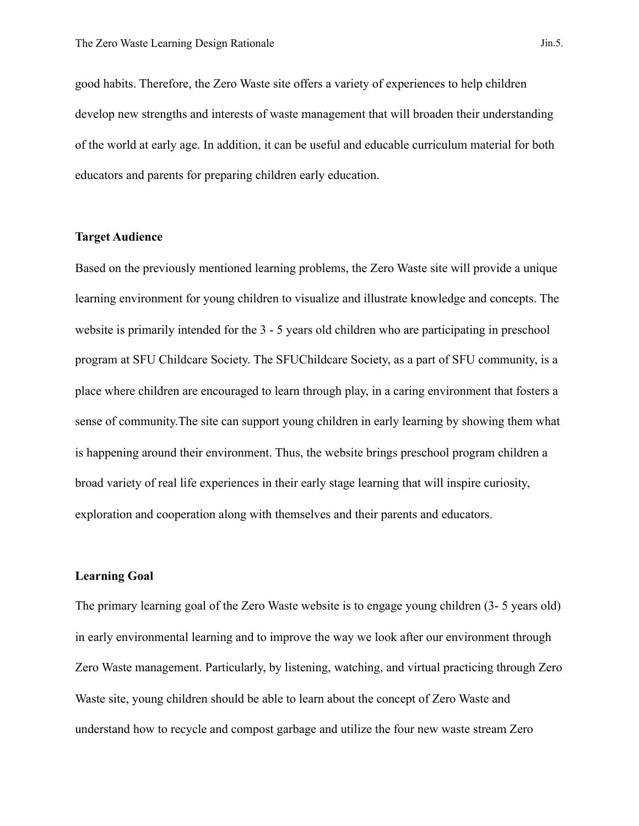good habits. Therefore, the Zero Waste site offers a variety of experiences to help children develop new strengths and interests of waste management that will broaden their understanding of the world at early age. In addition, it can be useful and educable curriculum material for both educators and parents for preparing children early education.

#### **Target Audience**

Based on the previously mentioned learning problems, the Zero Waste site will provide a unique learning environment for young children to visualize and illustrate knowledge and concepts. The website is primarily intended for the 3 - 5 years old children who are participating in preschool program at SFU Childcare Society. The SFUChildcare Society, as a part of SFU community, is a place where children are encouraged to learn through play, in a caring environment that fosters a sense of community.The site can support young children in early learning by showing them what is happening around their environment. Thus, the website brings preschool program children a broad variety of real life experiences in their early stage learning that will inspire curiosity, exploration and cooperation along with themselves and their parents and educators.

## **Learning Goal**

The primary learning goal of the Zero Waste website is to engage young children (3- 5 years old) in early environmental learning and to improve the way we look after our environment through Zero Waste management. Particularly, by listening, watching, and virtual practicing through Zero Waste site, young children should be able to learn about the concept of Zero Waste and understand how to recycle and compost garbage and utilize the four new waste stream Zero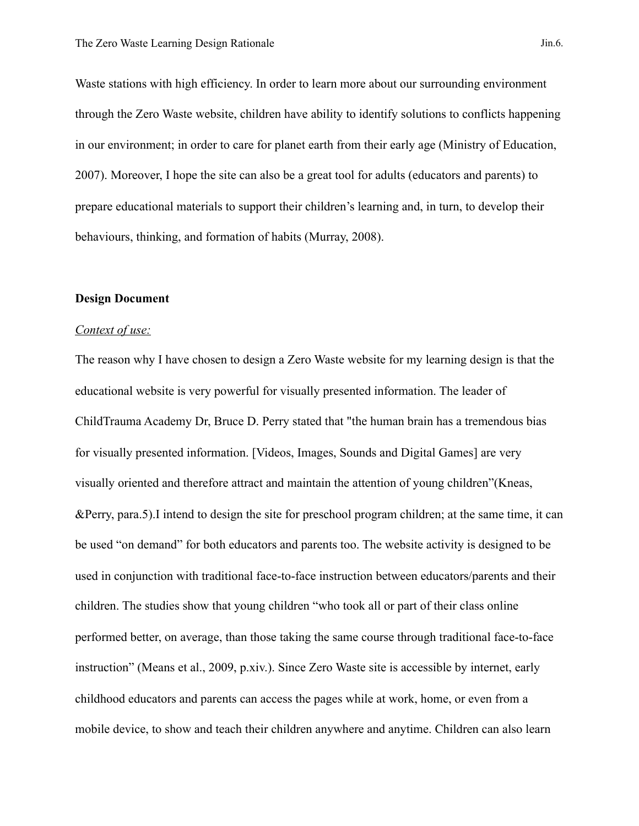Waste stations with high efficiency. In order to learn more about our surrounding environment through the Zero Waste website, children have ability to identify solutions to conflicts happening in our environment; in order to care for planet earth from their early age (Ministry of Education, 2007). Moreover, I hope the site can also be a great tool for adults (educators and parents) to prepare educational materials to support their children's learning and, in turn, to develop their behaviours, thinking, and formation of habits (Murray, 2008).

## **Design Document**

# *Context of use:*

The reason why I have chosen to design a Zero Waste website for my learning design is that the educational website is very powerful for visually presented information. The leader of ChildTrauma Academy Dr, Bruce D. Perry stated that "the human brain has a tremendous bias for visually presented information. [Videos, Images, Sounds and Digital Games] are very visually oriented and therefore attract and maintain the attention of young children"(Kneas, &Perry, para.5).I intend to design the site for preschool program children; at the same time, it can be used "on demand" for both educators and parents too. The website activity is designed to be used in conjunction with traditional face-to-face instruction between educators/parents and their children. The studies show that young children "who took all or part of their class online performed better, on average, than those taking the same course through traditional face-to-face instruction" (Means et al., 2009, p.xiv.). Since Zero Waste site is accessible by internet, early childhood educators and parents can access the pages while at work, home, or even from a mobile device, to show and teach their children anywhere and anytime. Children can also learn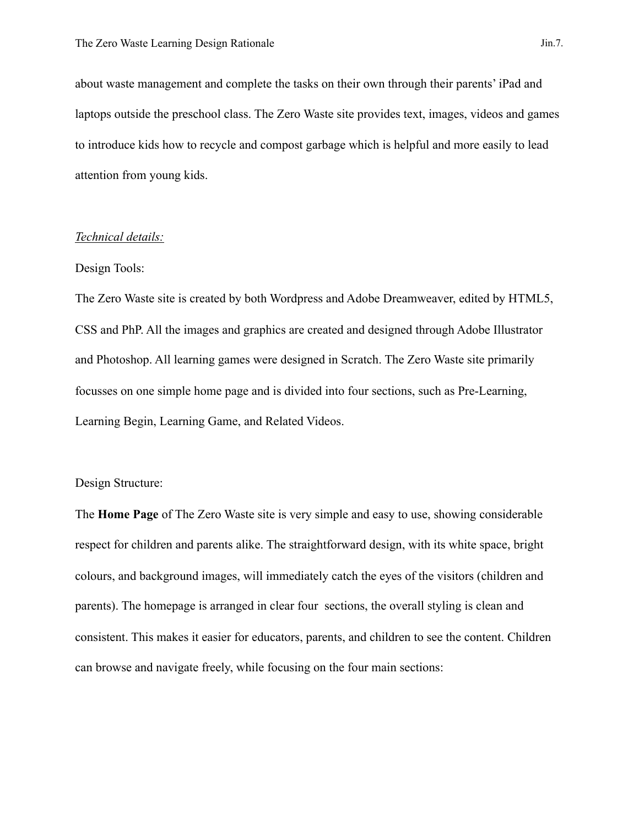about waste management and complete the tasks on their own through their parents' iPad and laptops outside the preschool class. The Zero Waste site provides text, images, videos and games to introduce kids how to recycle and compost garbage which is helpful and more easily to lead attention from young kids.

## *Technical details:*

#### Design Tools:

The Zero Waste site is created by both Wordpress and Adobe Dreamweaver, edited by HTML5, CSS and PhP. All the images and graphics are created and designed through Adobe Illustrator and Photoshop. All learning games were designed in Scratch. The Zero Waste site primarily focusses on one simple home page and is divided into four sections, such as Pre-Learning, Learning Begin, Learning Game, and Related Videos.

# Design Structure:

The **Home Page** of The Zero Waste site is very simple and easy to use, showing considerable respect for children and parents alike. The straightforward design, with its white space, bright colours, and background images, will immediately catch the eyes of the visitors (children and parents). The homepage is arranged in clear four sections, the overall styling is clean and consistent. This makes it easier for educators, parents, and children to see the content. Children can browse and navigate freely, while focusing on the four main sections: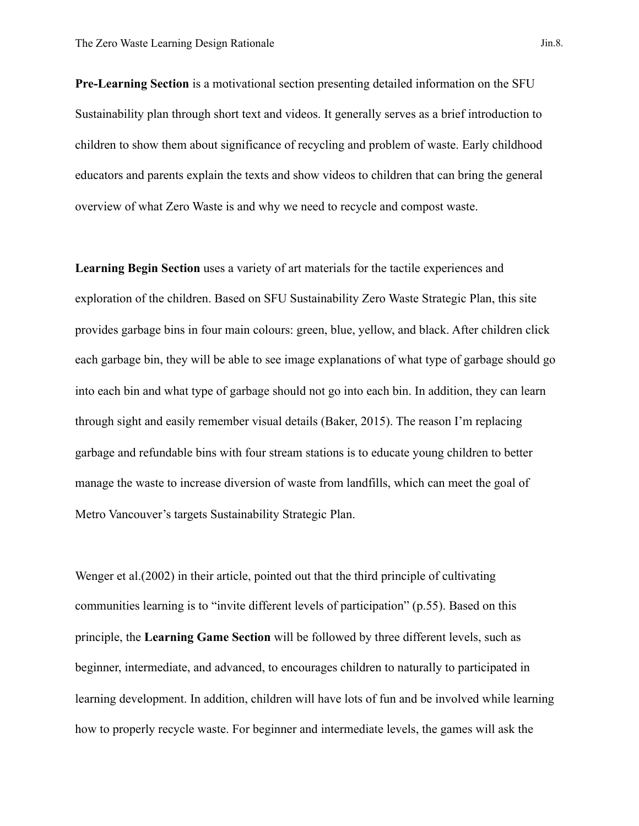**Pre-Learning Section** is a motivational section presenting detailed information on the SFU Sustainability plan through short text and videos. It generally serves as a brief introduction to children to show them about significance of recycling and problem of waste. Early childhood educators and parents explain the texts and show videos to children that can bring the general overview of what Zero Waste is and why we need to recycle and compost waste.

**Learning Begin Section** uses a variety of art materials for the tactile experiences and exploration of the children. Based on SFU Sustainability Zero Waste Strategic Plan, this site provides garbage bins in four main colours: green, blue, yellow, and black. After children click each garbage bin, they will be able to see image explanations of what type of garbage should go into each bin and what type of garbage should not go into each bin. In addition, they can learn through sight and easily remember visual details (Baker, 2015). The reason I'm replacing garbage and refundable bins with four stream stations is to educate young children to better manage the waste to increase diversion of waste from landfills, which can meet the goal of Metro Vancouver's targets Sustainability Strategic Plan.

Wenger et al.(2002) in their article, pointed out that the third principle of cultivating communities learning is to "invite different levels of participation" (p.55). Based on this principle, the **Learning Game Section** will be followed by three different levels, such as beginner, intermediate, and advanced, to encourages children to naturally to participated in learning development. In addition, children will have lots of fun and be involved while learning how to properly recycle waste. For beginner and intermediate levels, the games will ask the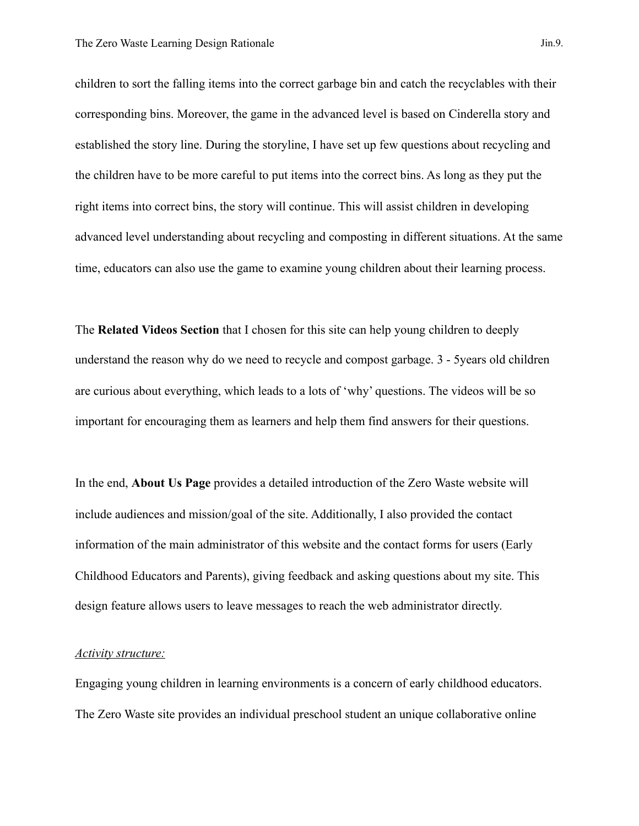children to sort the falling items into the correct garbage bin and catch the recyclables with their corresponding bins. Moreover, the game in the advanced level is based on Cinderella story and established the story line. During the storyline, I have set up few questions about recycling and the children have to be more careful to put items into the correct bins. As long as they put the right items into correct bins, the story will continue. This will assist children in developing advanced level understanding about recycling and composting in different situations. At the same time, educators can also use the game to examine young children about their learning process.

The **Related Videos Section** that I chosen for this site can help young children to deeply understand the reason why do we need to recycle and compost garbage. 3 - 5years old children are curious about everything, which leads to a lots of 'why' questions. The videos will be so important for encouraging them as learners and help them find answers for their questions.

In the end, **About Us Page** provides a detailed introduction of the Zero Waste website will include audiences and mission/goal of the site. Additionally, I also provided the contact information of the main administrator of this website and the contact forms for users (Early Childhood Educators and Parents), giving feedback and asking questions about my site. This design feature allows users to leave messages to reach the web administrator directly.

#### *Activity structure:*

Engaging young children in learning environments is a concern of early childhood educators. The Zero Waste site provides an individual preschool student an unique collaborative online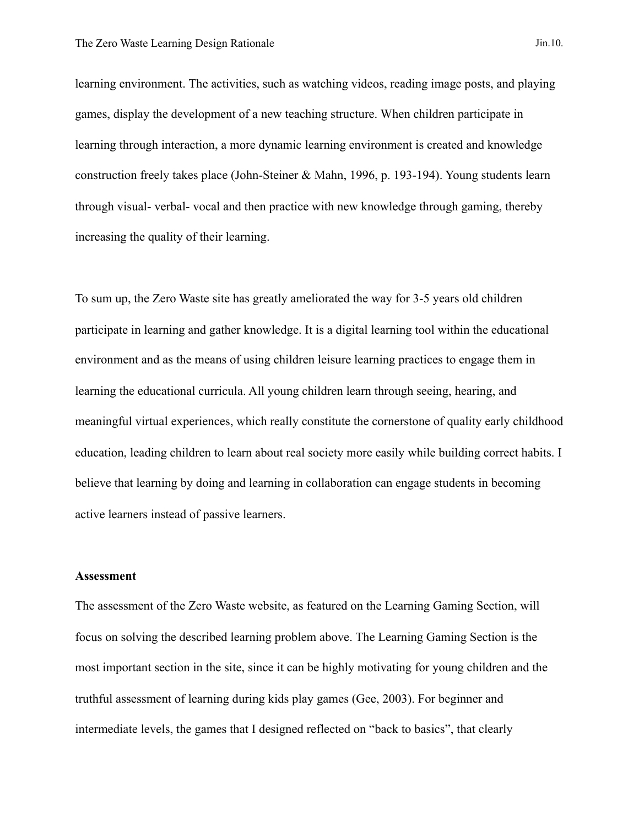learning environment. The activities, such as watching videos, reading image posts, and playing games, display the development of a new teaching structure. When children participate in learning through interaction, a more dynamic learning environment is created and knowledge construction freely takes place (John-Steiner & Mahn, 1996, p. 193-194). Young students learn through visual- verbal- vocal and then practice with new knowledge through gaming, thereby increasing the quality of their learning.

To sum up, the Zero Waste site has greatly ameliorated the way for 3-5 years old children participate in learning and gather knowledge. It is a digital learning tool within the educational environment and as the means of using children leisure learning practices to engage them in learning the educational curricula. All young children learn through seeing, hearing, and meaningful virtual experiences, which really constitute the cornerstone of quality early childhood education, leading children to learn about real society more easily while building correct habits. I believe that learning by doing and learning in collaboration can engage students in becoming active learners instead of passive learners.

## **Assessment**

The assessment of the Zero Waste website, as featured on the Learning Gaming Section, will focus on solving the described learning problem above. The Learning Gaming Section is the most important section in the site, since it can be highly motivating for young children and the truthful assessment of learning during kids play games (Gee, 2003). For beginner and intermediate levels, the games that I designed reflected on "back to basics", that clearly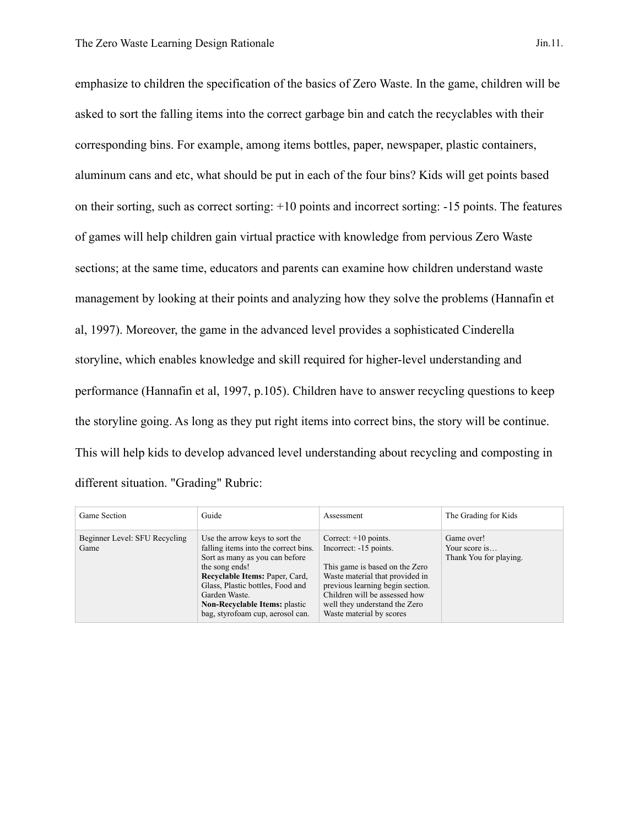emphasize to children the specification of the basics of Zero Waste. In the game, children will be asked to sort the falling items into the correct garbage bin and catch the recyclables with their corresponding bins. For example, among items bottles, paper, newspaper, plastic containers, aluminum cans and etc, what should be put in each of the four bins? Kids will get points based on their sorting, such as correct sorting: +10 points and incorrect sorting: -15 points. The features of games will help children gain virtual practice with knowledge from pervious Zero Waste sections; at the same time, educators and parents can examine how children understand waste management by looking at their points and analyzing how they solve the problems (Hannafin et al, 1997). Moreover, the game in the advanced level provides a sophisticated Cinderella storyline, which enables knowledge and skill required for higher-level understanding and performance (Hannafin et al, 1997, p.105). Children have to answer recycling questions to keep the storyline going. As long as they put right items into correct bins, the story will be continue. This will help kids to develop advanced level understanding about recycling and composting in different situation. "Grading" Rubric:

| Game Section                          | Guide                                                                                                                                                                                                                                                                                         | Assessment                                                                                                                                                                                                                                              | The Grading for Kids                                  |
|---------------------------------------|-----------------------------------------------------------------------------------------------------------------------------------------------------------------------------------------------------------------------------------------------------------------------------------------------|---------------------------------------------------------------------------------------------------------------------------------------------------------------------------------------------------------------------------------------------------------|-------------------------------------------------------|
| Beginner Level: SFU Recycling<br>Game | Use the arrow keys to sort the<br>falling items into the correct bins.<br>Sort as many as you can before<br>the song ends!<br>Recyclable Items: Paper, Card,<br>Glass, Plastic bottles, Food and<br>Garden Waste.<br><b>Non-Recyclable Items: plastic</b><br>bag, styrofoam cup, aerosol can. | Correct: $+10$ points.<br>Incorrect: -15 points.<br>This game is based on the Zero<br>Waste material that provided in<br>previous learning begin section.<br>Children will be assessed how<br>well they understand the Zero<br>Waste material by scores | Game over!<br>Your score is<br>Thank You for playing. |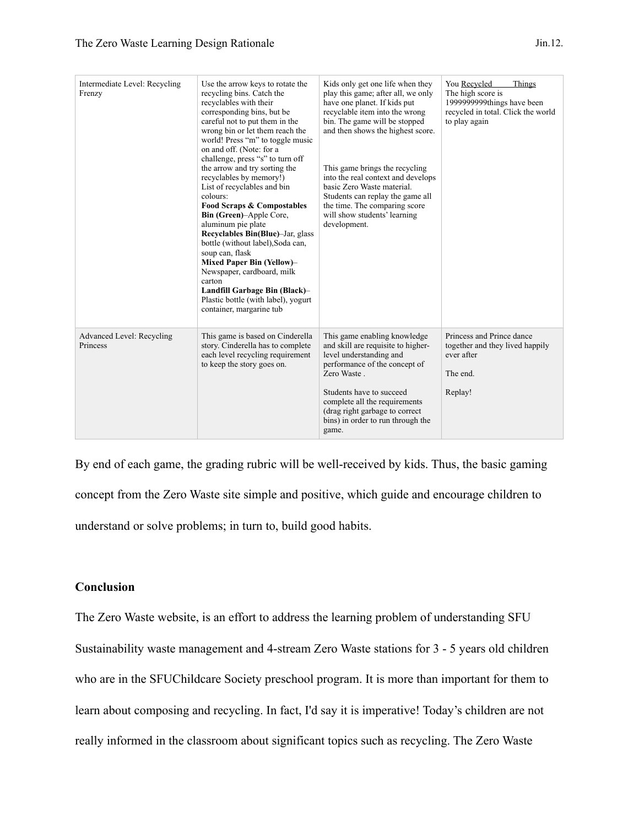| Intermediate Level: Recycling<br>Frenzy | Use the arrow keys to rotate the<br>recycling bins. Catch the<br>recyclables with their<br>corresponding bins, but be<br>careful not to put them in the<br>wrong bin or let them reach the<br>world! Press "m" to toggle music<br>on and off. (Note: for a<br>challenge, press "s" to turn off<br>the arrow and try sorting the<br>recyclables by memory!)<br>List of recyclables and bin<br>colours:<br><b>Food Scraps &amp; Compostables</b><br>Bin (Green)-Apple Core,<br>aluminum pie plate<br>Recyclables Bin(Blue)-Jar, glass<br>bottle (without label), Soda can,<br>soup can, flask<br>Mixed Paper Bin (Yellow)-<br>Newspaper, cardboard, milk<br>carton<br>Landfill Garbage Bin (Black)-<br>Plastic bottle (with label), yogurt<br>container, margarine tub | Kids only get one life when they<br>play this game; after all, we only<br>have one planet. If kids put<br>recyclable item into the wrong<br>bin. The game will be stopped<br>and then shows the highest score.<br>This game brings the recycling<br>into the real context and develops<br>basic Zero Waste material.<br>Students can replay the game all<br>the time. The comparing score<br>will show students' learning<br>development. | You Recycled<br>Things<br>The high score is<br>1999999999things have been<br>recycled in total. Click the world<br>to play again |
|-----------------------------------------|----------------------------------------------------------------------------------------------------------------------------------------------------------------------------------------------------------------------------------------------------------------------------------------------------------------------------------------------------------------------------------------------------------------------------------------------------------------------------------------------------------------------------------------------------------------------------------------------------------------------------------------------------------------------------------------------------------------------------------------------------------------------|-------------------------------------------------------------------------------------------------------------------------------------------------------------------------------------------------------------------------------------------------------------------------------------------------------------------------------------------------------------------------------------------------------------------------------------------|----------------------------------------------------------------------------------------------------------------------------------|
| Advanced Level: Recycling<br>Princess   | This game is based on Cinderella<br>story. Cinderella has to complete<br>each level recycling requirement<br>to keep the story goes on.                                                                                                                                                                                                                                                                                                                                                                                                                                                                                                                                                                                                                              | This game enabling knowledge<br>and skill are requisite to higher-<br>level understanding and<br>performance of the concept of<br>Zero Waste.<br>Students have to succeed<br>complete all the requirements<br>(drag right garbage to correct<br>bins) in order to run through the<br>game.                                                                                                                                                | Princess and Prince dance<br>together and they lived happily<br>ever after<br>The end.<br>Replay!                                |

By end of each game, the grading rubric will be well-received by kids. Thus, the basic gaming concept from the Zero Waste site simple and positive, which guide and encourage children to understand or solve problems; in turn to, build good habits.

# **Conclusion**

The Zero Waste website, is an effort to address the learning problem of understanding SFU Sustainability waste management and 4-stream Zero Waste stations for 3 - 5 years old children who are in the SFUChildcare Society preschool program. It is more than important for them to learn about composing and recycling. In fact, I'd say it is imperative! Today's children are not really informed in the classroom about significant topics such as recycling. The Zero Waste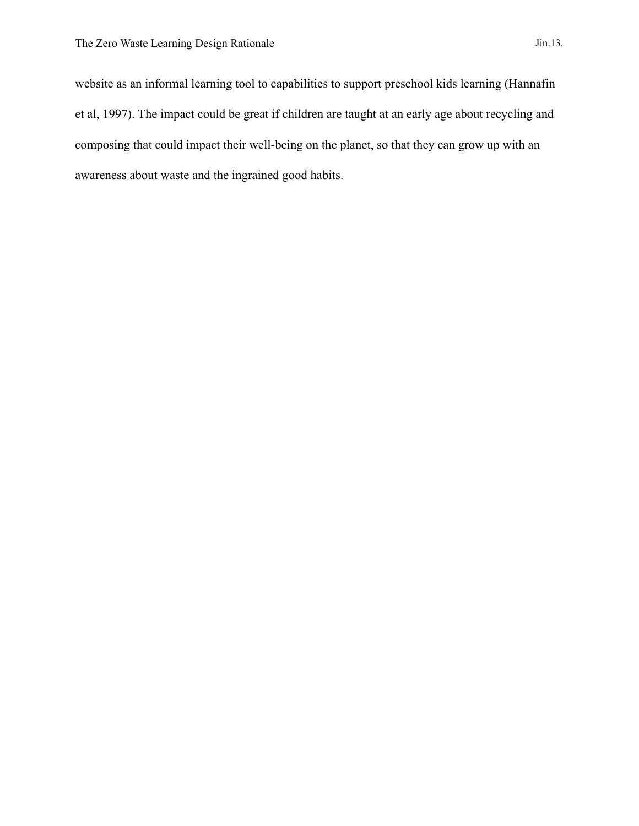website as an informal learning tool to capabilities to support preschool kids learning (Hannafin et al, 1997). The impact could be great if children are taught at an early age about recycling and composing that could impact their well-being on the planet, so that they can grow up with an awareness about waste and the ingrained good habits.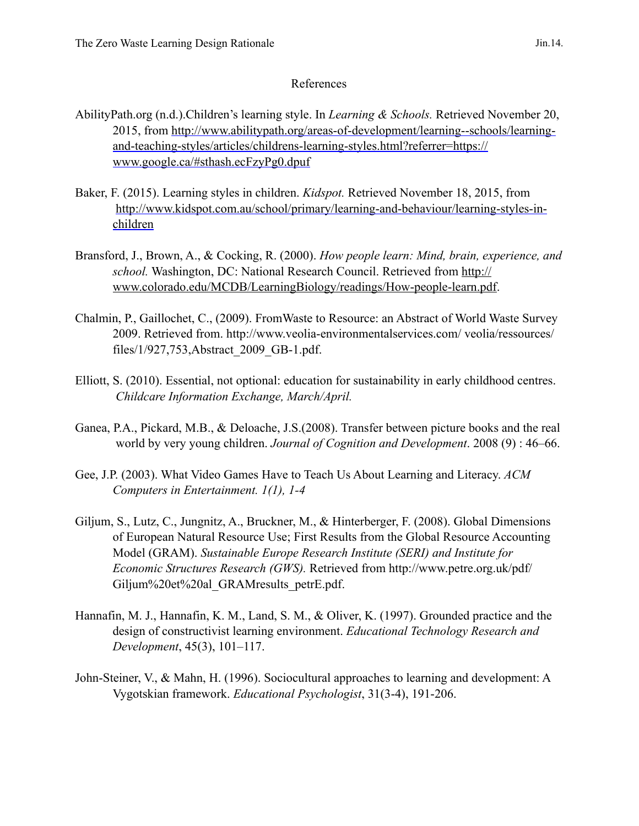# References

- AbilityPath.org (n.d.).Children's learning style. In *Learning & Schools.* Retrieved November 20, [2015, from http://www.abilitypath.org/areas-of-development/learning--schools/learning](http://www.abilitypath.org/areas-of-development/learning--schools/learning-and-teaching-styles/articles/childrens-learning-styles.html?referrer=https://www.google.ca/#sthash.ecFzyPg0.dpuf)and-teaching-styles/articles/childrens-learning-styles.html?referrer=https:// www.google.ca/#sthash.ecFzyPg0.dpuf
- Baker, F. (2015). Learning styles in children. *Kidspot.* Retrieved November 18, 2015, from [http://www.kidspot.com.au/school/primary/learning-and-behaviour/learning-styles-in](http://www.kidspot.com.au/school/primary/learning-and-behaviour/learning-styles-in-children)children
- Bransford, J., Brown, A., & Cocking, R. (2000). *How people learn: Mind, brain, experience, and school.* Washington, DC: National Research Council. Retrieved from http:// [www.colorado.edu/MCDB/LearningBiology/readings/How-people-learn.pdf](http://www.colorado.edu/MCDB/LearningBiology/readings/How-people-learn.pdf).
- Chalmin, P., Gaillochet, C., (2009). FromWaste to Resource: an Abstract of World Waste Survey 2009. Retrieved from. http://www.veolia-environmentalservices.com/ veolia/ressources/ files/1/927,753,Abstract\_2009\_GB-1.pdf.
- Elliott, S. (2010). Essential, not optional: education for sustainability in early childhood centres. *Childcare Information Exchange, March/April.*
- Ganea, P.A., Pickard, M.B., & Deloache, J.S.(2008). Transfer between picture books and the real world by very young children. *Journal of Cognition and Development*. 2008 (9) : 46–66.
- Gee, J.P. (2003). What Video Games Have to Teach Us About Learning and Literacy. *ACM Computers in Entertainment. 1(1), 1-4*
- Giljum, S., Lutz, C., Jungnitz, A., Bruckner, M., & Hinterberger, F. (2008). Global Dimensions of European Natural Resource Use; First Results from the Global Resource Accounting Model (GRAM). *Sustainable Europe Research Institute (SERI) and Institute for Economic Structures Research (GWS).* Retrieved from http://www.petre.org.uk/pdf/ [Giljum%20et%20al\\_GRAMresults\\_petrE.pdf.](http://www.petre.org.uk/pdf/Giljum%20et%20al_GRAMresults_petrE.pdf)
- Hannafin, M. J., Hannafin, K. M., Land, S. M., & Oliver, K. (1997). Grounded practice and the design of constructivist learning environment. *Educational Technology Research and Development*, 45(3), 101–117.
- John-Steiner, V., & Mahn, H. (1996). Sociocultural approaches to learning and development: A Vygotskian framework. *Educational Psychologist*, 31(3-4), 191-206.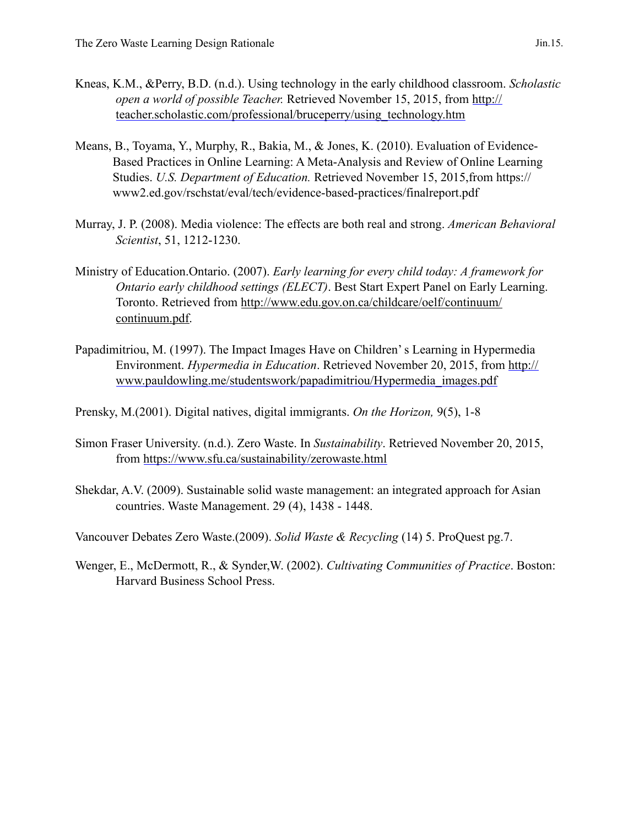- Kneas, K.M., &Perry, B.D. (n.d.). Using technology in the early childhood classroom. *Scholastic open a world of possible Teacher.* Retrieved November 15, 2015, from http:// [teacher.scholastic.com/professional/bruceperry/using\\_technology.htm](http://teacher.scholastic.com/professional/bruceperry/using_technology.htm)
- Means, B., Toyama, Y., Murphy, R., Bakia, M., & Jones, K. (2010). Evaluation of Evidence-Based Practices in Online Learning: A Meta-Analysis and Review of Online Learning Studies. *U.S. Department of Education.* Retrieved November 15, 2015,from https:// www2.ed.gov/rschstat/eval/tech/evidence-based-practices/finalreport.pdf
- Murray, J. P. (2008). Media violence: The effects are both real and strong. *American Behavioral Scientist*, 51, 1212-1230.
- Ministry of Education.Ontario. (2007). *Early learning for every child today: A framework for Ontario early childhood settings (ELECT)*. Best Start Expert Panel on Early Learning. [Toronto. Retrieved from http://www.edu.gov.on.ca/childcare/oelf/continuum/](http://www.edu.gov.on.ca/childcare/oelf/continuum/continuum.pdf) continuum.pdf.
- Papadimitriou, M. (1997). The Impact Images Have on Children' s Learning in Hypermedia Environment. *Hypermedia in Education*. Retrieved November 20, 2015, from http:// [www.pauldowling.me/studentswork/papadimitriou/Hypermedia\\_images.pdf](http://www.pauldowling.me/studentswork/papadimitriou/Hypermedia_images.pdf)

Prensky, M.(2001). Digital natives, digital immigrants. *On the Horizon,* 9(5), 1-8

- Simon Fraser University. (n.d.). Zero Waste. In *Sustainability*. Retrieved November 20, 2015, from <https://www.sfu.ca/sustainability/zerowaste.html>
- Shekdar, A.V. (2009). Sustainable solid waste management: an integrated approach for Asian countries. Waste Management. 29 (4), 1438 - 1448.

Vancouver Debates Zero Waste.(2009). *Solid Waste & Recycling* (14) 5. ProQuest pg.7.

Wenger, E., McDermott, R., & Synder,W. (2002). *Cultivating Communities of Practice*. Boston: Harvard Business School Press.